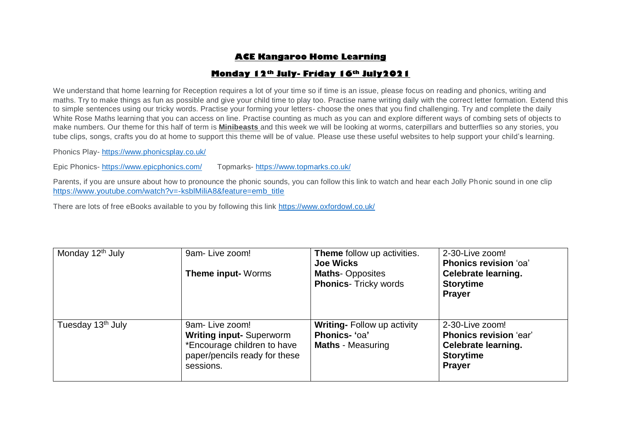# **ACE Kangaroo Home Learning**

## **Monday 12th July- Friday 16th July2021**

We understand that home learning for Reception requires a lot of your time so if time is an issue, please focus on reading and phonics, writing and maths. Try to make things as fun as possible and give your child time to play too. Practise name writing daily with the correct letter formation. Extend this to simple sentences using our tricky words. Practise your forming your letters- choose the ones that you find challenging. Try and complete the daily White Rose Maths learning that you can access on line. Practise counting as much as you can and explore different ways of combing sets of objects to make numbers. Our theme for this half of term is **Minibeasts** and this week we will be looking at worms, caterpillars and butterflies so any stories, you tube clips, songs, crafts you do at home to support this theme will be of value. Please use these useful websites to help support your child's learning.

Phonics Play- <https://www.phonicsplay.co.uk/>

Epic Phonics- <https://www.epicphonics.com/>Topmarks- <https://www.topmarks.co.uk/>

Parents, if you are unsure about how to pronounce the phonic sounds, you can follow this link to watch and hear each Jolly Phonic sound in one clip [https://www.youtube.com/watch?v=-ksblMiliA8&feature=emb\\_title](https://www.youtube.com/watch?v=-ksblMiliA8&feature=emb_title)

There are lots of free eBooks available to you by following this link<https://www.oxfordowl.co.uk/>

| Monday 12 <sup>th</sup> July  | 9am-Live zoom!<br><b>Theme input-</b> Worms                                                                                   | Theme follow up activities.<br><b>Joe Wicks</b><br><b>Maths-Opposites</b><br><b>Phonics- Tricky words</b> | 2-30-Live zoom!<br>Phonics revision 'oa'<br><b>Celebrate learning.</b><br><b>Storytime</b><br><b>Prayer</b>         |
|-------------------------------|-------------------------------------------------------------------------------------------------------------------------------|-----------------------------------------------------------------------------------------------------------|---------------------------------------------------------------------------------------------------------------------|
| Tuesday 13 <sup>th</sup> July | 9am-Live zoom!<br><b>Writing input-Superworm</b><br>*Encourage children to have<br>paper/pencils ready for these<br>sessions. | <b>Writing-Follow up activity</b><br>Phonics- 'oa'<br><b>Maths</b> - Measuring                            | 2-30-Live zoom!<br><b>Phonics revision 'ear'</b><br><b>Celebrate learning.</b><br><b>Storytime</b><br><b>Prayer</b> |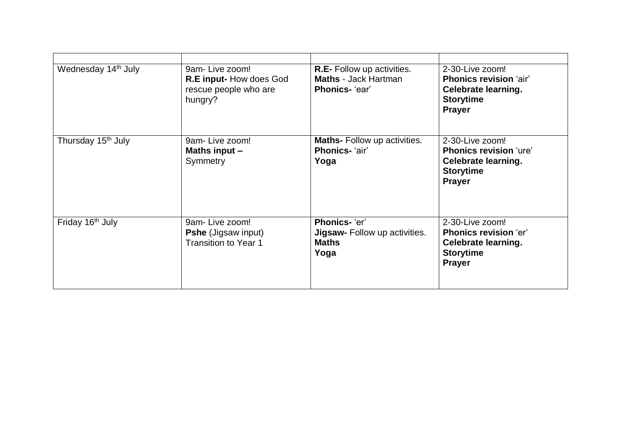| Wednesday 14 <sup>th</sup> July | 9am-Live zoom!<br>R.E input-How does God<br>rescue people who are<br>hungry? | <b>R.E.</b> Follow up activities.<br><b>Maths - Jack Hartman</b><br>Phonics- 'ear' | 2-30-Live zoom!<br><b>Phonics revision 'air'</b><br><b>Celebrate learning.</b><br><b>Storytime</b><br><b>Prayer</b> |
|---------------------------------|------------------------------------------------------------------------------|------------------------------------------------------------------------------------|---------------------------------------------------------------------------------------------------------------------|
| Thursday 15 <sup>th</sup> July  | 9am-Live zoom!<br>Maths input -<br>Symmetry                                  | Maths- Follow up activities.<br>Phonics- 'air'<br>Yoga                             | 2-30-Live zoom!<br><b>Phonics revision 'ure'</b><br><b>Celebrate learning.</b><br><b>Storytime</b><br><b>Prayer</b> |
| Friday 16 <sup>th</sup> July    | 9am-Live zoom!<br><b>Pshe (Jigsaw input)</b><br><b>Transition to Year 1</b>  | Phonics- 'er'<br><b>Jigsaw-</b> Follow up activities.<br><b>Maths</b><br>Yoga      | 2-30-Live zoom!<br><b>Phonics revision 'er'</b><br><b>Celebrate learning.</b><br><b>Storytime</b><br><b>Prayer</b>  |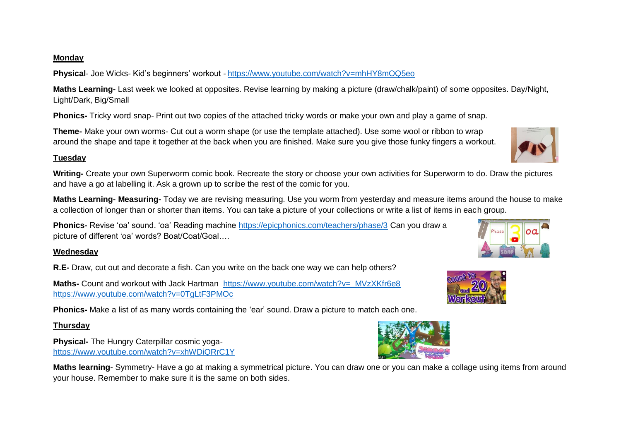#### **Monday**

**Physical**- Joe Wicks- Kid's beginners' workout - <https://www.youtube.com/watch?v=mhHY8mOQ5eo>

**Maths Learning-** Last week we looked at opposites. Revise learning by making a picture (draw/chalk/paint) of some opposites. Day/Night, Light/Dark, Big/Small

**Phonics-** Tricky word snap- Print out two copies of the attached tricky words or make your own and play a game of snap.

**Theme-** Make your own worms- Cut out a worm shape (or use the template attached). Use some wool or ribbon to wrap around the shape and tape it together at the back when you are finished. Make sure you give those funky fingers a workout.

#### **Tuesday**

**Writing-** Create your own Superworm comic book. Recreate the story or choose your own activities for Superworm to do. Draw the pictures and have a go at labelling it. Ask a grown up to scribe the rest of the comic for you.

**Maths Learning- Measuring-** Today we are revising measuring. Use you worm from yesterday and measure items around the house to make a collection of longer than or shorter than items. You can take a picture of your collections or write a list of items in each group.

**Phonics-** Revise 'oa' sound. 'oa' Reading machine<https://epicphonics.com/teachers/phase/3> Can you draw a picture of different 'oa' words? Boat/Coat/Goal….

## **Wednesday**

**R.E-** Draw, cut out and decorate a fish. Can you write on the back one way we can help others?

**Maths-** Count and workout with Jack Hartman https://www.youtube.com/watch?v=\_MVzXKfr6e8 <https://www.youtube.com/watch?v=0TgLtF3PMOc>

**Phonics-** Make a list of as many words containing the 'ear' sound. Draw a picture to match each one.

# **Thursday**

**Physical-** The Hungry Caterpillar cosmic yoga<https://www.youtube.com/watch?v=xhWDiQRrC1Y>

**Maths learning**- Symmetry- Have a go at making a symmetrical picture. You can draw one or you can make a collage using items from around your house. Remember to make sure it is the same on both sides.







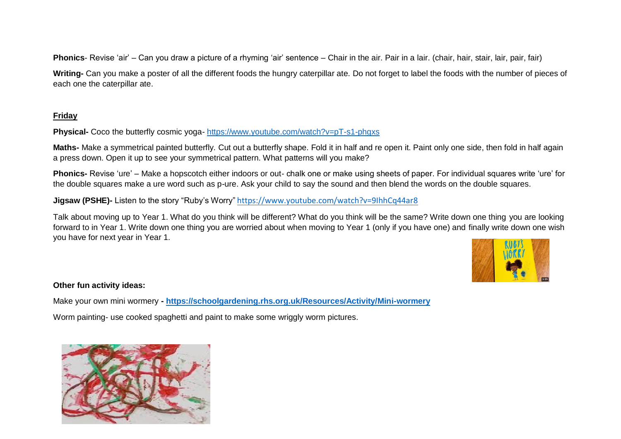**Phonics**- Revise 'air' – Can you draw a picture of a rhyming 'air' sentence – Chair in the air. Pair in a lair. (chair, hair, stair, lair, pair, fair)

**Writing-** Can you make a poster of all the different foods the hungry caterpillar ate. Do not forget to label the foods with the number of pieces of each one the caterpillar ate.

## **Friday**

**Physical-** Coco the butterfly cosmic yoga- <https://www.youtube.com/watch?v=pT-s1-phgxs>

**Maths-** Make a symmetrical painted butterfly. Cut out a butterfly shape. Fold it in half and re open it. Paint only one side, then fold in half again a press down. Open it up to see your symmetrical pattern. What patterns will you make?

**Phonics-** Revise 'ure' – Make a hopscotch either indoors or out- chalk one or make using sheets of paper. For individual squares write 'ure' for the double squares make a ure word such as p-ure. Ask your child to say the sound and then blend the words on the double squares.

**Jigsaw (PSHE)-** Listen to the story "Ruby's Worry" <https://www.youtube.com/watch?v=9IhhCq44ar8>

Talk about moving up to Year 1. What do you think will be different? What do you think will be the same? Write down one thing you are looking forward to in Year 1. Write down one thing you are worried about when moving to Year 1 (only if you have one) and finally write down one wish you have for next year in Year 1.



## **Other fun activity ideas:**

Make your own mini wormery **- <https://schoolgardening.rhs.org.uk/Resources/Activity/Mini-wormery>** Worm painting- use cooked spaghetti and paint to make some wriggly worm pictures.

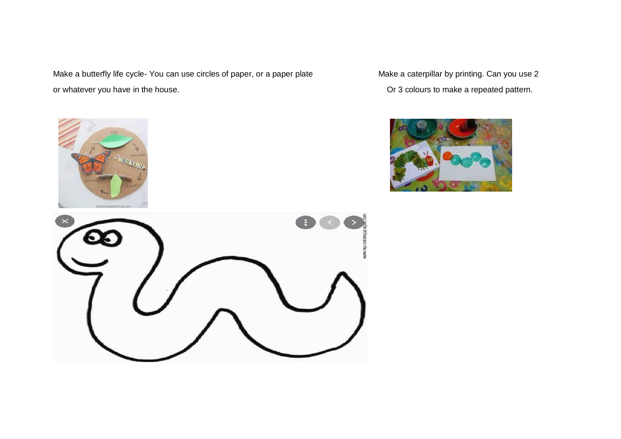Make a butterfly life cycle- You can use circles of paper, or a paper plate Make a caterpillar by printing. Can you use 2 or whatever you have in the house. Or 3 colours to make a repeated pattern.





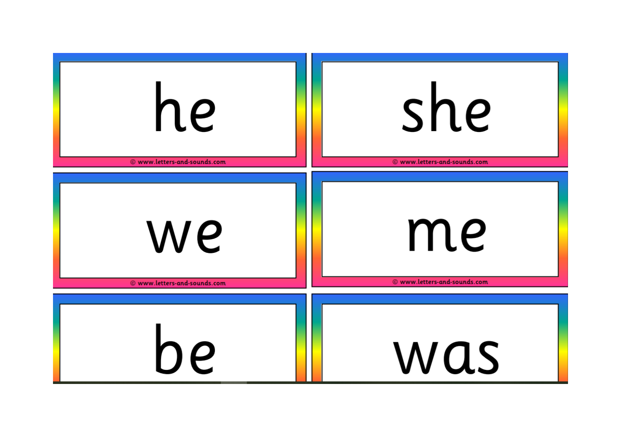